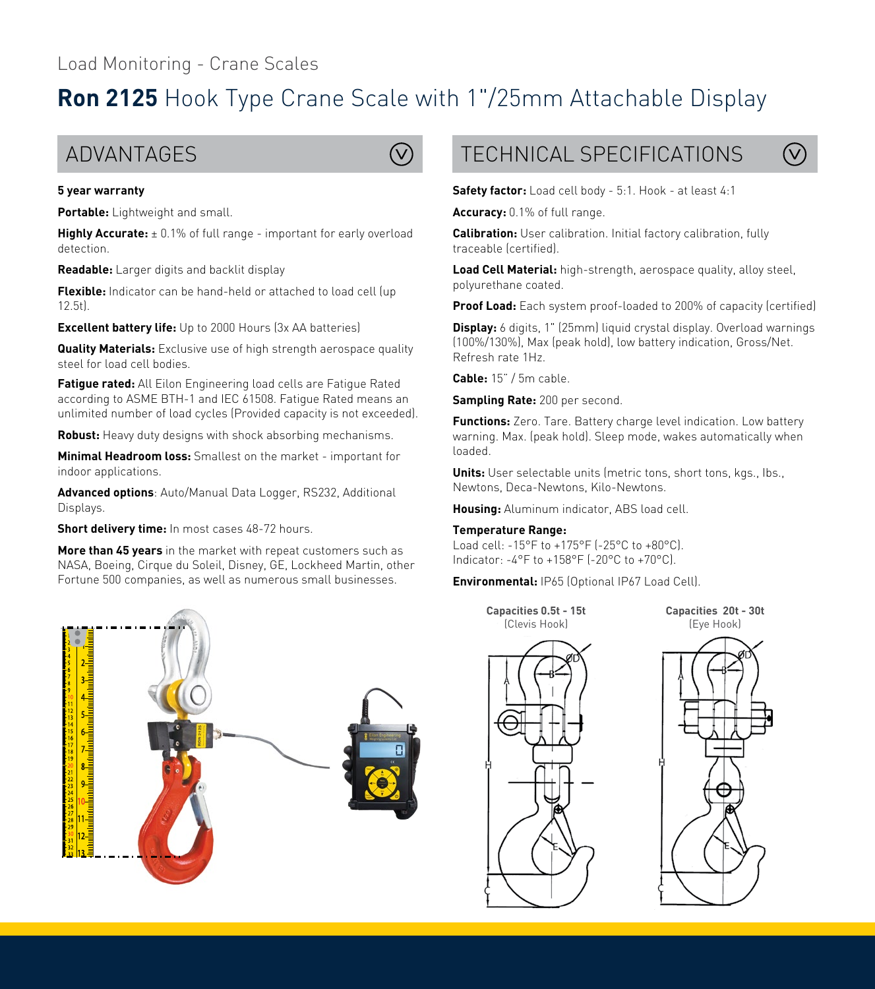# **Ron 2125** Hook Type Crane Scale with 1"/25mm Attachable Display



### **5 year warranty**

**Portable:** Lightweight and small.

**Highly Accurate:**  $\pm$  0.1% of full range - important for early overload detection.

**Readable:** Larger digits and backlit display

**Flexible:** Indicator can be hand-held or attached to load cell (up 12.5t).

**Excellent battery life:** Up to 2000 Hours (3x AA batteries)

**Quality Materials:** Exclusive use of high strength aerospace quality steel for load cell bodies.

**Fatigue rated:** All Eilon Engineering load cells are Fatigue Rated according to ASME BTH-1 and IEC 61508. Fatigue Rated means an unlimited number of load cycles (Provided capacity is not exceeded).

**Robust:** Heavy duty designs with shock absorbing mechanisms.

**Minimal Headroom loss:** Smallest on the market - important for indoor applications.

**Advanced options**: Auto/Manual Data Logger, RS232, Additional Displays.

**Short delivery time:** In most cases 48-72 hours.

**More than 45 years** in the market with repeat customers such as NASA, Boeing, Cirque du Soleil, Disney, GE, Lockheed Martin, other Fortune 500 companies, as well as numerous small businesses.



## $ADVANTAGES$   $Q$   $TFCHNICAL SEFCIFICATIONS$



**Safety factor:** Load cell body - 5:1. Hook - at least 4:1

**Accuracy:** 0.1% of full range.

**Calibration:** User calibration. Initial factory calibration, fully traceable (certified).

**Load Cell Material:** high-strength, aerospace quality, alloy steel, polyurethane coated.

**Proof Load:** Each system proof-loaded to 200% of capacity (certified)

**Display:** 6 digits, 1" (25mm) liquid crystal display. Overload warnings (100%/130%), Max (peak hold), low battery indication, Gross/Net. Refresh rate 1Hz.

**Cable:** 15" / 5m cable.

**Sampling Rate:** 200 per second.

**Functions:** Zero. Tare. Battery charge level indication. Low battery warning. Max. (peak hold). Sleep mode, wakes automatically when loaded.

**Units:** User selectable units (metric tons, short tons, kgs., lbs., Newtons, Deca-Newtons, Kilo-Newtons.

**Housing:** Aluminum indicator, ABS load cell.

#### **Temperature Range:**

Load cell: -15°F to +175°F (-25°C to +80°C). Indicator: -4°F to +158°F (-20°C to +70°C).

**Environmental:** IP65 (Optional IP67 Load Cell).